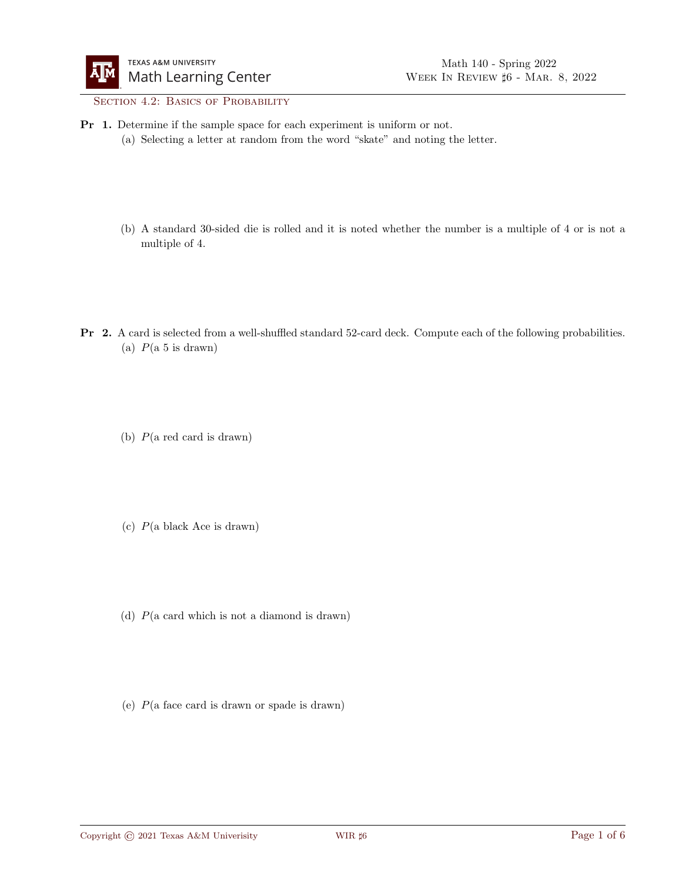## SECTION 4.2: BASICS OF PROBABILITY

- Pr 1. Determine if the sample space for each experiment is uniform or not.
	- (a) Selecting a letter at random from the word "skate" and noting the letter.
	- (b) A standard 30-sided die is rolled and it is noted whether the number is a multiple of 4 or is not a multiple of 4.
- Pr 2. A card is selected from a well-shuffled standard 52-card deck. Compute each of the following probabilities. (a)  $P(a 5 is drawn)$ 
	- (b) P(a red card is drawn)
	- (c) P(a black Ace is drawn)
	- (d) P(a card which is not a diamond is drawn)
	- (e)  $P$ (a face card is drawn or spade is drawn)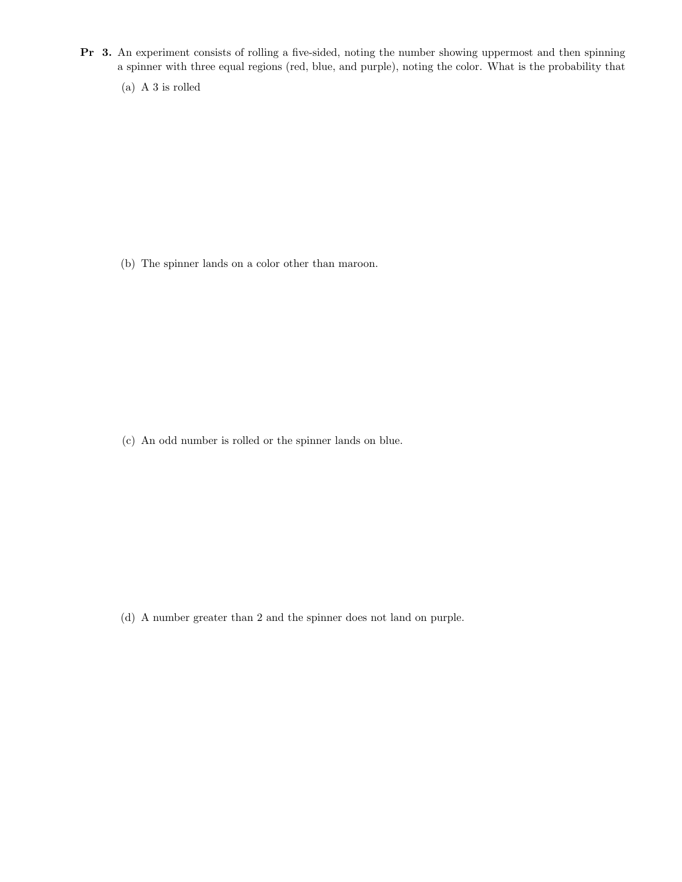- Pr 3. An experiment consists of rolling a five-sided, noting the number showing uppermost and then spinning a spinner with three equal regions (red, blue, and purple), noting the color. What is the probability that
	- (a) A 3 is rolled

(b) The spinner lands on a color other than maroon.

(c) An odd number is rolled or the spinner lands on blue.

(d) A number greater than 2 and the spinner does not land on purple.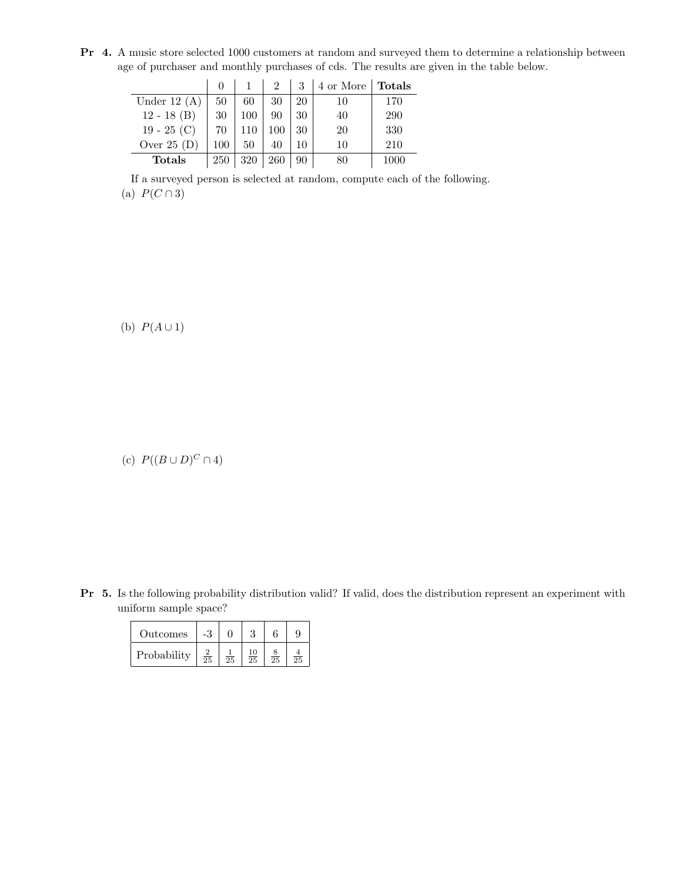Pr 4. A music store selected 1000 customers at random and surveyed them to determine a relationship between age of purchaser and monthly purchases of cds. The results are given in the table below.

|                |     |     |     |    | 4 or More | <b>Totals</b> |
|----------------|-----|-----|-----|----|-----------|---------------|
| Under 12 $(A)$ | 50  | 60  | 30  | 20 | 10        | 170           |
| $12 - 18$ (B)  | 30  | 100 | 90  | 30 | 40        | 290           |
| $19 - 25$ (C)  | 70  |     |     | 30 | 20        | 330           |
| Over $25(D)$   | 100 | 50  | 40  | 10 | 10        | 210           |
| <b>Totals</b>  | 250 | 320 | 260 | 90 | 80        | 1000          |

If a surveyed person is selected at random, compute each of the following. (a)  $P(C \cap 3)$ 

(b)  $P(A \cup 1)$ 

(c)  $P((B \cup D)^C \cap 4)$ 

Pr 5. Is the following probability distribution valid? If valid, does the distribution represent an experiment with uniform sample space?

| Outcomes    | -3         |    |    |                 |    |
|-------------|------------|----|----|-----------------|----|
| Probability | $\bar{25}$ | 25 | 25 | $\overline{25}$ | 25 |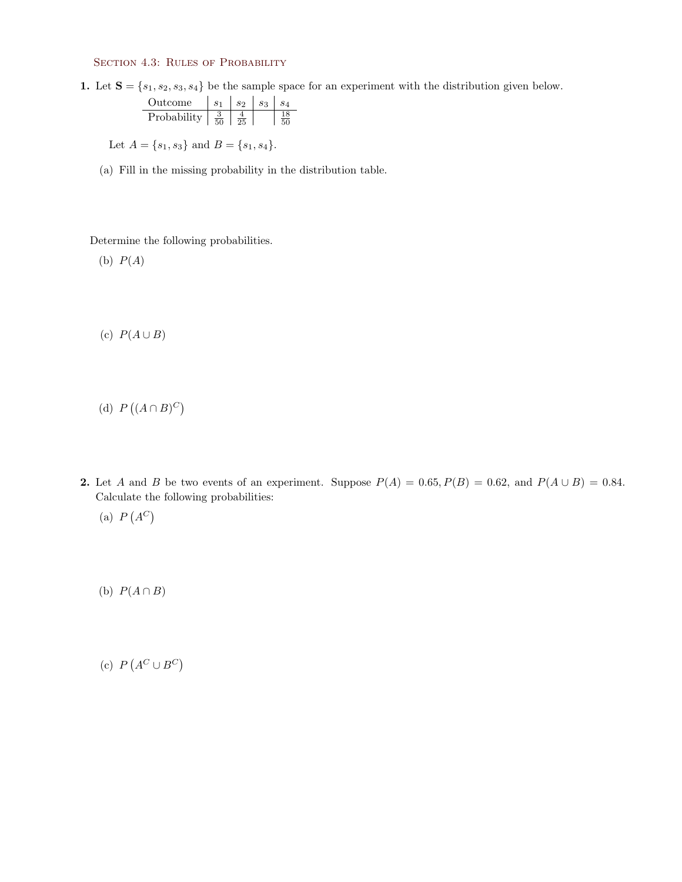## SECTION 4.3: RULES OF PROBABILITY

1. Let  $S = \{s_1, s_2, s_3, s_4\}$  be the sample space for an experiment with the distribution given below.

| Outcome     |                | $s_{2}$ | Sл |
|-------------|----------------|---------|----|
| Probability | $\frac{9}{50}$ |         |    |

Let  $A = \{s_1, s_3\}$  and  $B = \{s_1, s_4\}.$ 

(a) Fill in the missing probability in the distribution table.

Determine the following probabilities.

(b)  $P(A)$ 

(c)  $P(A \cup B)$ 

(d)  $P((A \cap B)^C)$ 

- 2. Let A and B be two events of an experiment. Suppose  $P(A) = 0.65, P(B) = 0.62$ , and  $P(A \cup B) = 0.84$ . Calculate the following probabilities:
	- (a)  $P(A^C)$

(b)  $P(A \cap B)$ 

(c)  $P(A^C \cup B^C)$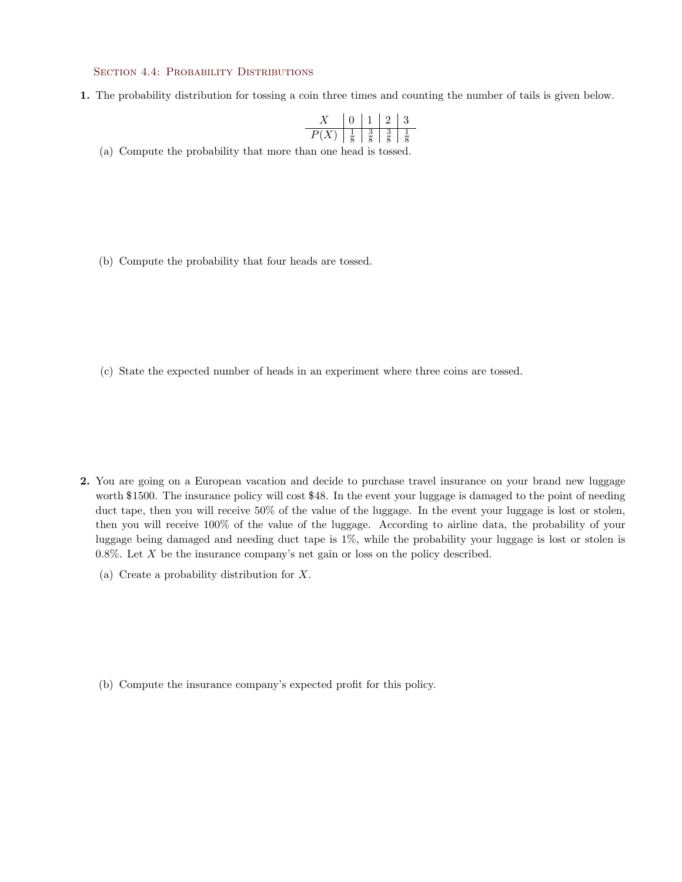## SECTION 4.4: PROBABILITY DISTRIBUTIONS

1. The probability distribution for tossing a coin three times and counting the number of tails is given below.

|               |                    |               | $\cdot$ , | 3 |
|---------------|--------------------|---------------|-----------|---|
| $\mathcal{P}$ | $\frac{1}{\sigma}$ | $\frac{9}{2}$ |           |   |

(a) Compute the probability that more than one head is tossed.

(b) Compute the probability that four heads are tossed.

(c) State the expected number of heads in an experiment where three coins are tossed.

- 2. You are going on a European vacation and decide to purchase travel insurance on your brand new luggage worth \$1500. The insurance policy will cost \$48. In the event your luggage is damaged to the point of needing duct tape, then you will receive 50% of the value of the luggage. In the event your luggage is lost or stolen, then you will receive 100% of the value of the luggage. According to airline data, the probability of your luggage being damaged and needing duct tape is 1%, while the probability your luggage is lost or stolen is  $0.8\%$ . Let X be the insurance company's net gain or loss on the policy described.
	- (a) Create a probability distribution for X.

(b) Compute the insurance company's expected profit for this policy.